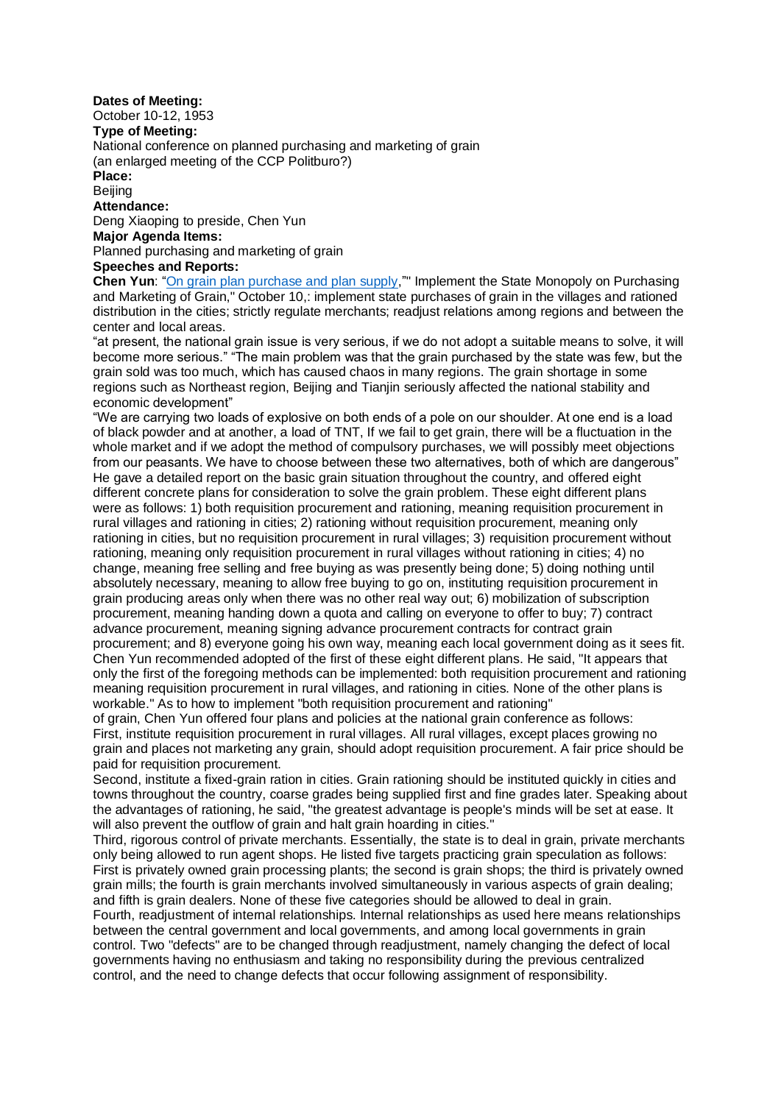### **Dates of Meeting:**

October 10-12, 1953

**Type of Meeting:**

National conference on planned purchasing and marketing of grain

(an enlarged meeting of the CCP Politburo?)

**Place:**

Beijing

**Attendance:**

Deng Xiaoping to preside, Chen Yun

**Major Agenda Items:**

Planned purchasing and marketing of grain

# **Speeches and Reports:**

Chen Yun: ["On grain plan purchase and plan supply,](http://www.commonprogram.science/documents/10-10-1953.pdf)"" Implement the State Monopoly on Purchasing and Marketing of Grain," October 10,: implement state purchases of grain in the villages and rationed distribution in the cities; strictly regulate merchants; readjust relations among regions and between the center and local areas.

"at present, the national grain issue is very serious, if we do not adopt a suitable means to solve, it will become more serious." "The main problem was that the grain purchased by the state was few, but the grain sold was too much, which has caused chaos in many regions. The grain shortage in some regions such as Northeast region, Beijing and Tianjin seriously affected the national stability and economic development"

"We are carrying two loads of explosive on both ends of a pole on our shoulder. At one end is a load of black powder and at another, a load of TNT, If we fail to get grain, there will be a fluctuation in the whole market and if we adopt the method of compulsory purchases, we will possibly meet objections from our peasants. We have to choose between these two alternatives, both of which are dangerous" He gave a detailed report on the basic grain situation throughout the country, and offered eight different concrete plans for consideration to solve the grain problem. These eight different plans were as follows: 1) both requisition procurement and rationing, meaning requisition procurement in rural villages and rationing in cities; 2) rationing without requisition procurement, meaning only rationing in cities, but no requisition procurement in rural villages; 3) requisition procurement without rationing, meaning only requisition procurement in rural villages without rationing in cities; 4) no change, meaning free selling and free buying as was presently being done; 5) doing nothing until absolutely necessary, meaning to allow free buying to go on, instituting requisition procurement in grain producing areas only when there was no other real way out; 6) mobilization of subscription procurement, meaning handing down a quota and calling on everyone to offer to buy; 7) contract advance procurement, meaning signing advance procurement contracts for contract grain procurement; and 8) everyone going his own way, meaning each local government doing as it sees fit. Chen Yun recommended adopted of the first of these eight different plans. He said, "It appears that only the first of the foregoing methods can be implemented: both requisition procurement and rationing meaning requisition procurement in rural villages, and rationing in cities. None of the other plans is workable." As to how to implement "both requisition procurement and rationing"

of grain, Chen Yun offered four plans and policies at the national grain conference as follows: First, institute requisition procurement in rural villages. All rural villages, except places growing no grain and places not marketing any grain, should adopt requisition procurement. A fair price should be paid for requisition procurement.

Second, institute a fixed-grain ration in cities. Grain rationing should be instituted quickly in cities and towns throughout the country, coarse grades being supplied first and fine grades later. Speaking about the advantages of rationing, he said, "the greatest advantage is people's minds will be set at ease. It will also prevent the outflow of grain and halt grain hoarding in cities."

Third, rigorous control of private merchants. Essentially, the state is to deal in grain, private merchants only being allowed to run agent shops. He listed five targets practicing grain speculation as follows: First is privately owned grain processing plants; the second is grain shops; the third is privately owned grain mills; the fourth is grain merchants involved simultaneously in various aspects of grain dealing; and fifth is grain dealers. None of these five categories should be allowed to deal in grain.

Fourth, readjustment of internal relationships. Internal relationships as used here means relationships between the central government and local governments, and among local governments in grain control. Two "defects" are to be changed through readjustment, namely changing the defect of local governments having no enthusiasm and taking no responsibility during the previous centralized control, and the need to change defects that occur following assignment of responsibility.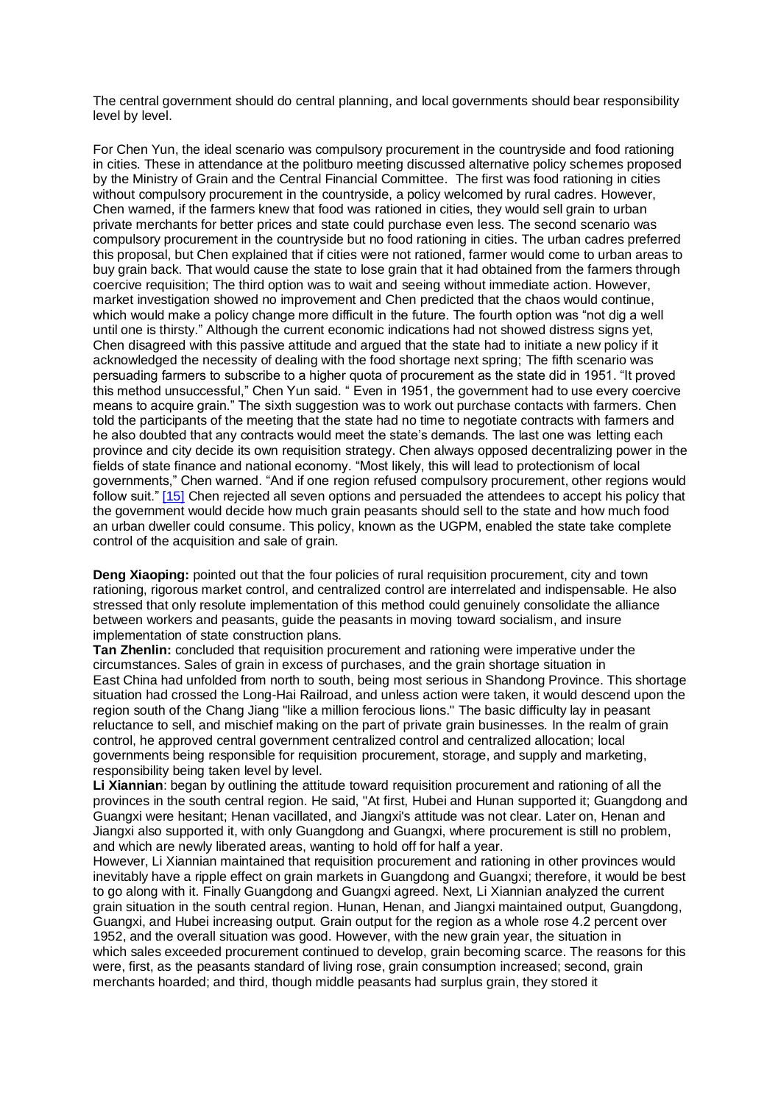The central government should do central planning, and local governments should bear responsibility level by level.

For Chen Yun, the ideal scenario was compulsory procurement in the countryside and food rationing in cities. These in attendance at the politburo meeting discussed alternative policy schemes proposed by the Ministry of Grain and the Central Financial Committee. The first was food rationing in cities without compulsory procurement in the countryside, a policy welcomed by rural cadres. However, Chen warned, if the farmers knew that food was rationed in cities, they would sell grain to urban private merchants for better prices and state could purchase even less. The second scenario was compulsory procurement in the countryside but no food rationing in cities. The urban cadres preferred this proposal, but Chen explained that if cities were not rationed, farmer would come to urban areas to buy grain back. That would cause the state to lose grain that it had obtained from the farmers through coercive requisition; The third option was to wait and seeing without immediate action. However, market investigation showed no improvement and Chen predicted that the chaos would continue, which would make a policy change more difficult in the future. The fourth option was "not dig a well until one is thirsty." Although the current economic indications had not showed distress signs yet, Chen disagreed with this passive attitude and argued that the state had to initiate a new policy if it acknowledged the necessity of dealing with the food shortage next spring; The fifth scenario was persuading farmers to subscribe to a higher quota of procurement as the state did in 1951. "It proved this method unsuccessful," Chen Yun said. " Even in 1951, the government had to use every coercive means to acquire grain." The sixth suggestion was to work out purchase contacts with farmers. Chen told the participants of the meeting that the state had no time to negotiate contracts with farmers and he also doubted that any contracts would meet the state's demands. The last one was letting each province and city decide its own requisition strategy. Chen always opposed decentralizing power in the fields of state finance and national economy. "Most likely, this will lead to protectionism of local governments," Chen warned. "And if one region refused compulsory procurement, other regions would follow suit.[" \[15\]](http://control.blog.sina.com.cn/admin/article/article_add.php#_edn15) Chen rejected all seven options and persuaded the attendees to accept his policy that the government would decide how much grain peasants should sell to the state and how much food an urban dweller could consume. This policy, known as the UGPM, enabled the state take complete control of the acquisition and sale of grain.

**Deng Xiaoping:** pointed out that the four policies of rural requisition procurement, city and town rationing, rigorous market control, and centralized control are interrelated and indispensable. He also stressed that only resolute implementation of this method could genuinely consolidate the alliance between workers and peasants, guide the peasants in moving toward socialism, and insure implementation of state construction plans.

**Tan Zhenlin:** concluded that requisition procurement and rationing were imperative under the circumstances. Sales of grain in excess of purchases, and the grain shortage situation in East China had unfolded from north to south, being most serious in Shandong Province. This shortage situation had crossed the Long-Hai Railroad, and unless action were taken, it would descend upon the region south of the Chang Jiang "like a million ferocious lions." The basic difficulty lay in peasant reluctance to sell, and mischief making on the part of private grain businesses. In the realm of grain control, he approved central government centralized control and centralized allocation; local governments being responsible for requisition procurement, storage, and supply and marketing, responsibility being taken level by level.

**Li Xiannian**: began by outlining the attitude toward requisition procurement and rationing of all the provinces in the south central region. He said, "At first, Hubei and Hunan supported it; Guangdong and Guangxi were hesitant; Henan vacillated, and Jiangxi's attitude was not clear. Later on, Henan and Jiangxi also supported it, with only Guangdong and Guangxi, where procurement is still no problem, and which are newly liberated areas, wanting to hold off for half a year.

However, Li Xiannian maintained that requisition procurement and rationing in other provinces would inevitably have a ripple effect on grain markets in Guangdong and Guangxi; therefore, it would be best to go along with it. Finally Guangdong and Guangxi agreed. Next, Li Xiannian analyzed the current grain situation in the south central region. Hunan, Henan, and Jiangxi maintained output, Guangdong, Guangxi, and Hubei increasing output. Grain output for the region as a whole rose 4.2 percent over 1952, and the overall situation was good. However, with the new grain year, the situation in which sales exceeded procurement continued to develop, grain becoming scarce. The reasons for this were, first, as the peasants standard of living rose, grain consumption increased; second, grain merchants hoarded; and third, though middle peasants had surplus grain, they stored it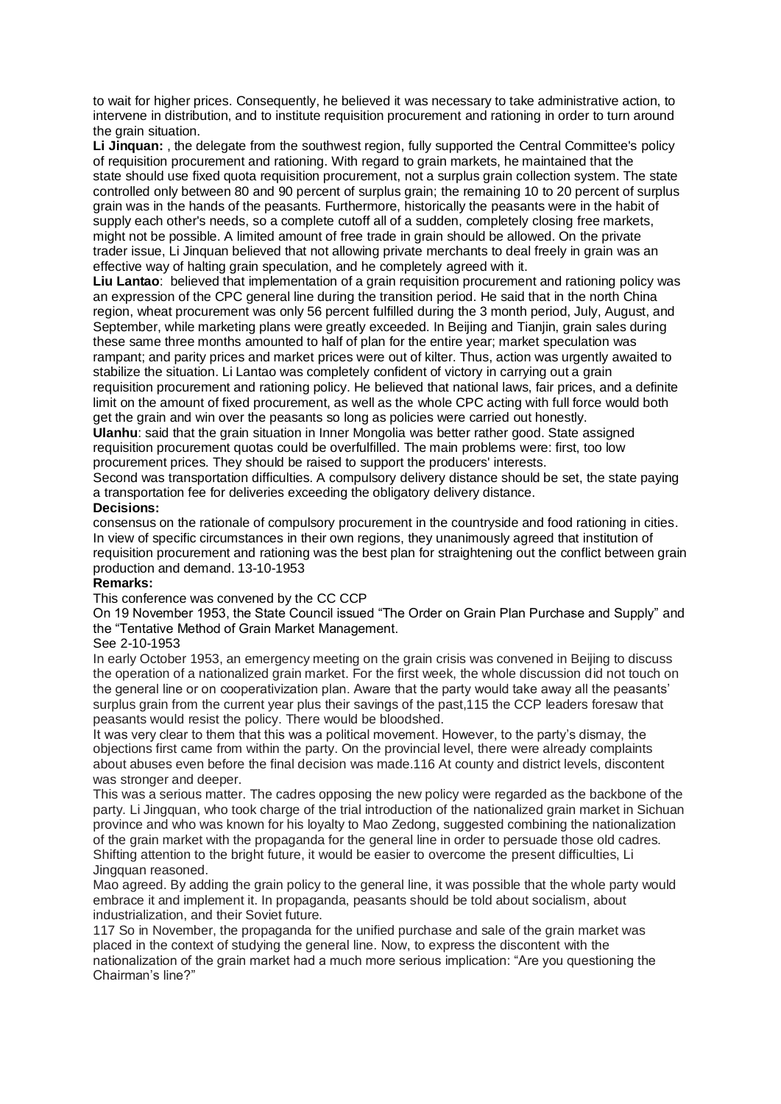to wait for higher prices. Consequently, he believed it was necessary to take administrative action, to intervene in distribution, and to institute requisition procurement and rationing in order to turn around the grain situation.

**Li Jinquan:** , the delegate from the southwest region, fully supported the Central Committee's policy of requisition procurement and rationing. With regard to grain markets, he maintained that the state should use fixed quota requisition procurement, not a surplus grain collection system. The state controlled only between 80 and 90 percent of surplus grain; the remaining 10 to 20 percent of surplus grain was in the hands of the peasants. Furthermore, historically the peasants were in the habit of supply each other's needs, so a complete cutoff all of a sudden, completely closing free markets, might not be possible. A limited amount of free trade in grain should be allowed. On the private trader issue, Li Jinquan believed that not allowing private merchants to deal freely in grain was an effective way of halting grain speculation, and he completely agreed with it.

**Liu Lantao**: believed that implementation of a grain requisition procurement and rationing policy was an expression of the CPC general line during the transition period. He said that in the north China region, wheat procurement was only 56 percent fulfilled during the 3 month period, July, August, and September, while marketing plans were greatly exceeded. In Beijing and Tianjin, grain sales during these same three months amounted to half of plan for the entire year; market speculation was rampant; and parity prices and market prices were out of kilter. Thus, action was urgently awaited to stabilize the situation. Li Lantao was completely confident of victory in carrying out a grain requisition procurement and rationing policy. He believed that national laws, fair prices, and a definite limit on the amount of fixed procurement, as well as the whole CPC acting with full force would both get the grain and win over the peasants so long as policies were carried out honestly.

**Ulanhu**: said that the grain situation in Inner Mongolia was better rather good. State assigned requisition procurement quotas could be overfulfilled. The main problems were: first, too low procurement prices. They should be raised to support the producers' interests.

Second was transportation difficulties. A compulsory delivery distance should be set, the state paying a transportation fee for deliveries exceeding the obligatory delivery distance.

## **Decisions:**

consensus on the rationale of compulsory procurement in the countryside and food rationing in cities. In view of specific circumstances in their own regions, they unanimously agreed that institution of requisition procurement and rationing was the best plan for straightening out the conflict between grain production and demand. 13-10-1953

### **Remarks:**

This conference was convened by the CC CCP

On 19 November 1953, the State Council issued "The Order on Grain Plan Purchase and Supply" and the "Tentative Method of Grain Market Management.

#### See 2-10-1953

In early October 1953, an emergency meeting on the grain crisis was convened in Beijing to discuss the operation of a nationalized grain market. For the first week, the whole discussion did not touch on the general line or on cooperativization plan. Aware that the party would take away all the peasants' surplus grain from the current year plus their savings of the past,115 the CCP leaders foresaw that peasants would resist the policy. There would be bloodshed.

It was very clear to them that this was a political movement. However, to the party's dismay, the objections first came from within the party. On the provincial level, there were already complaints about abuses even before the final decision was made.116 At county and district levels, discontent was stronger and deeper.

This was a serious matter. The cadres opposing the new policy were regarded as the backbone of the party. Li Jingquan, who took charge of the trial introduction of the nationalized grain market in Sichuan province and who was known for his loyalty to Mao Zedong, suggested combining the nationalization of the grain market with the propaganda for the general line in order to persuade those old cadres. Shifting attention to the bright future, it would be easier to overcome the present difficulties, Li Jingquan reasoned.

Mao agreed. By adding the grain policy to the general line, it was possible that the whole party would embrace it and implement it. In propaganda, peasants should be told about socialism, about industrialization, and their Soviet future.

117 So in November, the propaganda for the unified purchase and sale of the grain market was placed in the context of studying the general line. Now, to express the discontent with the nationalization of the grain market had a much more serious implication: "Are you questioning the Chairman's line?"